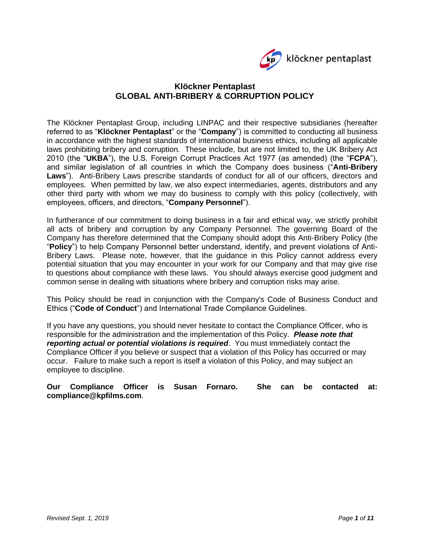

# **Klöckner Pentaplast GLOBAL ANTI-BRIBERY & CORRUPTION POLICY**

The Klöckner Pentaplast Group, including LINPAC and their respective subsidiaries (hereafter referred to as "**Klöckner Pentaplast**" or the "**Company**") is committed to conducting all business in accordance with the highest standards of international business ethics, including all applicable laws prohibiting bribery and corruption. These include, but are not limited to, the UK Bribery Act 2010 (the "**UKBA**"), the U.S. Foreign Corrupt Practices Act 1977 (as amended) (the "**FCPA**"), and similar legislation of all countries in which the Company does business ("**Anti-Bribery Laws**"). Anti-Bribery Laws prescribe standards of conduct for all of our officers, directors and employees. When permitted by law, we also expect intermediaries, agents, distributors and any other third party with whom we may do business to comply with this policy (collectively, with employees, officers, and directors, "**Company Personnel**").

In furtherance of our commitment to doing business in a fair and ethical way, we strictly prohibit all acts of bribery and corruption by any Company Personnel. The governing Board of the Company has therefore determined that the Company should adopt this Anti-Bribery Policy (the "**Policy**") to help Company Personnel better understand, identify, and prevent violations of Anti-Bribery Laws. Please note, however, that the guidance in this Policy cannot address every potential situation that you may encounter in your work for our Company and that may give rise to questions about compliance with these laws. You should always exercise good judgment and common sense in dealing with situations where bribery and corruption risks may arise.

This Policy should be read in conjunction with the Company's Code of Business Conduct and Ethics ("**Code of Conduct**") and International Trade Compliance Guidelines.

If you have any questions, you should never hesitate to contact the Compliance Officer, who is responsible for the administration and the implementation of this Policy. *Please note that reporting actual or potential violations is required*. You must immediately contact the Compliance Officer if you believe or suspect that a violation of this Policy has occurred or may occur. Failure to make such a report is itself a violation of this Policy, and may subject an employee to discipline.

### **Our Compliance Officer is Susan Fornaro. She can be contacted at: [compliance@kpfilms.com](mailto:t.dowling@kpfilms.com)**.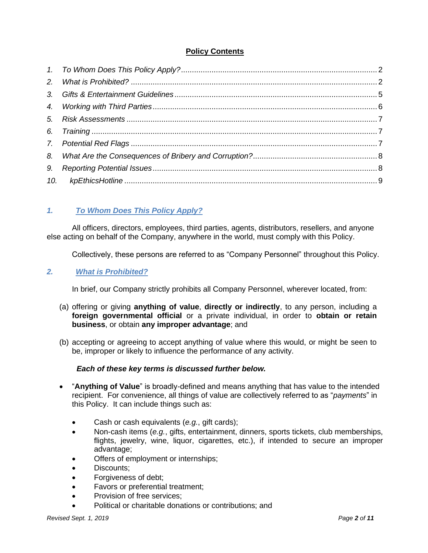# **Policy Contents**

# <span id="page-1-0"></span>*1. To Whom Does This Policy Apply?*

All officers, directors, employees, third parties, agents, distributors, resellers, and anyone else acting on behalf of the Company, anywhere in the world, must comply with this Policy.

Collectively, these persons are referred to as "Company Personnel" throughout this Policy.

## <span id="page-1-1"></span>*2. What is Prohibited?*

In brief, our Company strictly prohibits all Company Personnel, wherever located, from:

- (a) offering or giving **anything of value**, **directly or indirectly**, to any person, including a **foreign governmental official** or a private individual, in order to **obtain or retain business**, or obtain **any improper advantage**; and
- (b) accepting or agreeing to accept anything of value where this would, or might be seen to be, improper or likely to influence the performance of any activity.

## *Each of these key terms is discussed further below.*

- "**Anything of Value**" is broadly-defined and means anything that has value to the intended recipient. For convenience, all things of value are collectively referred to as "*payments*" in this Policy. It can include things such as:
	- Cash or cash equivalents (*e.g.*, gift cards);
	- Non-cash items (*e.g.*, gifts, entertainment, dinners, sports tickets, club memberships, flights, jewelry, wine, liquor, cigarettes, etc.), if intended to secure an improper advantage;
	- Offers of employment or internships;
	- Discounts:
	- Forgiveness of debt;
	- Favors or preferential treatment;
	- Provision of free services:
	- Political or charitable donations or contributions; and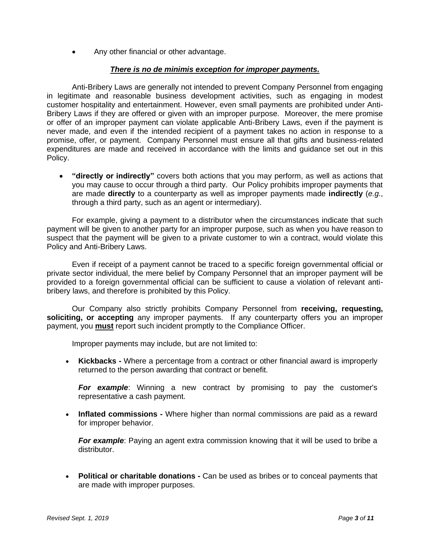• Any other financial or other advantage.

### *There is no de minimis exception for improper payments.*

Anti-Bribery Laws are generally not intended to prevent Company Personnel from engaging in legitimate and reasonable business development activities, such as engaging in modest customer hospitality and entertainment. However, even small payments are prohibited under Anti-Bribery Laws if they are offered or given with an improper purpose. Moreover, the mere promise or offer of an improper payment can violate applicable Anti-Bribery Laws, even if the payment is never made, and even if the intended recipient of a payment takes no action in response to a promise, offer, or payment. Company Personnel must ensure all that gifts and business-related expenditures are made and received in accordance with the limits and guidance set out in this Policy.

• **"directly or indirectly"** covers both actions that you may perform, as well as actions that you may cause to occur through a third party. Our Policy prohibits improper payments that are made **directly** to a counterparty as well as improper payments made **indirectly** (*e.g.*, through a third party, such as an agent or intermediary).

For example, giving a payment to a distributor when the circumstances indicate that such payment will be given to another party for an improper purpose, such as when you have reason to suspect that the payment will be given to a private customer to win a contract, would violate this Policy and Anti-Bribery Laws.

Even if receipt of a payment cannot be traced to a specific foreign governmental official or private sector individual, the mere belief by Company Personnel that an improper payment will be provided to a foreign governmental official can be sufficient to cause a violation of relevant antibribery laws, and therefore is prohibited by this Policy.

Our Company also strictly prohibits Company Personnel from **receiving, requesting, soliciting, or accepting** any improper payments. If any counterparty offers you an improper payment, you **must** report such incident promptly to the Compliance Officer.

Improper payments may include, but are not limited to:

• **Kickbacks -** Where a percentage from a contract or other financial award is improperly returned to the person awarding that contract or benefit.

*For example*: Winning a new contract by promising to pay the customer's representative a cash payment.

• **Inflated commissions -** Where higher than normal commissions are paid as a reward for improper behavior.

**For example**: Paying an agent extra commission knowing that it will be used to bribe a distributor.

• **Political or charitable donations -** Can be used as bribes or to conceal payments that are made with improper purposes.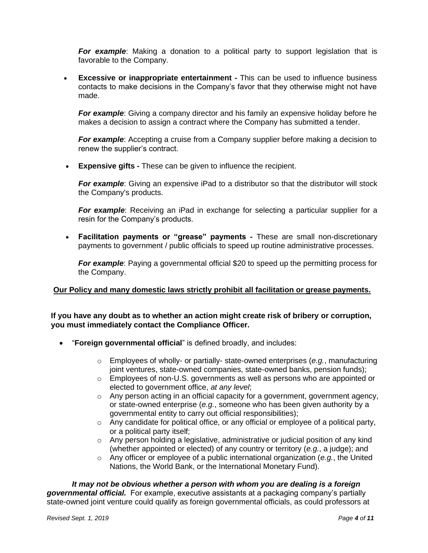**For example**: Making a donation to a political party to support legislation that is favorable to the Company.

• **Excessive or inappropriate entertainment -** This can be used to influence business contacts to make decisions in the Company's favor that they otherwise might not have made.

*For example*: Giving a company director and his family an expensive holiday before he makes a decision to assign a contract where the Company has submitted a tender.

*For example*: Accepting a cruise from a Company supplier before making a decision to renew the supplier's contract.

• **Expensive gifts -** These can be given to influence the recipient.

**For example**: Giving an expensive iPad to a distributor so that the distributor will stock the Company's products.

**For example**: Receiving an iPad in exchange for selecting a particular supplier for a resin for the Company's products.

• **Facilitation payments or "grease" payments -** These are small non-discretionary payments to government / public officials to speed up routine administrative processes.

*For example*: Paying a governmental official \$20 to speed up the permitting process for the Company.

### **Our Policy and many domestic laws strictly prohibit all facilitation or grease payments.**

**If you have any doubt as to whether an action might create risk of bribery or corruption, you must immediately contact the Compliance Officer.**

- "**Foreign governmental official**" is defined broadly, and includes:
	- o Employees of wholly- or partially- state-owned enterprises (*e.g.*, manufacturing joint ventures, state-owned companies, state-owned banks, pension funds);
	- $\circ$  Employees of non-U.S. governments as well as persons who are appointed or elected to government office, *at any level*;
	- o Any person acting in an official capacity for a government, government agency, or state-owned enterprise (*e.g.*, someone who has been given authority by a governmental entity to carry out official responsibilities);
	- o Any candidate for political office, or any official or employee of a political party, or a political party itself;
	- $\circ$  Any person holding a legislative, administrative or judicial position of any kind (whether appointed or elected) of any country or territory (*e.g.*, a judge); and
	- o Any officer or employee of a public international organization (*e.g.*, the United Nations, the World Bank, or the International Monetary Fund).

*It may not be obvious whether a person with whom you are dealing is a foreign governmental official.* For example, executive assistants at a packaging company's partially state-owned joint venture could qualify as foreign governmental officials, as could professors at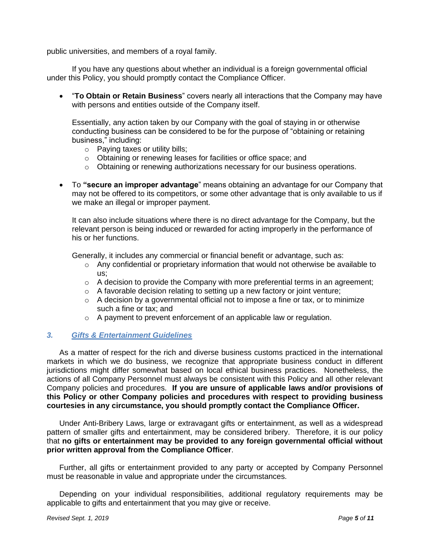public universities, and members of a royal family.

If you have any questions about whether an individual is a foreign governmental official under this Policy, you should promptly contact the Compliance Officer.

• "**To Obtain or Retain Business**" covers nearly all interactions that the Company may have with persons and entities outside of the Company itself.

Essentially, any action taken by our Company with the goal of staying in or otherwise conducting business can be considered to be for the purpose of "obtaining or retaining business," including:

- o Paying taxes or utility bills;
- o Obtaining or renewing leases for facilities or office space; and
- $\circ$  Obtaining or renewing authorizations necessary for our business operations.
- To **"secure an improper advantage**" means obtaining an advantage for our Company that may not be offered to its competitors, or some other advantage that is only available to us if we make an illegal or improper payment.

It can also include situations where there is no direct advantage for the Company, but the relevant person is being induced or rewarded for acting improperly in the performance of his or her functions.

Generally, it includes any commercial or financial benefit or advantage, such as:

- $\circ$  Any confidential or proprietary information that would not otherwise be available to us;
- $\circ$  A decision to provide the Company with more preferential terms in an agreement;
- o A favorable decision relating to setting up a new factory or joint venture;
- $\circ$  A decision by a governmental official not to impose a fine or tax, or to minimize such a fine or tax; and
- o A payment to prevent enforcement of an applicable law or regulation.

#### <span id="page-4-0"></span>*3. Gifts & Entertainment Guidelines*

As a matter of respect for the rich and diverse business customs practiced in the international markets in which we do business, we recognize that appropriate business conduct in different jurisdictions might differ somewhat based on local ethical business practices. Nonetheless, the actions of all Company Personnel must always be consistent with this Policy and all other relevant Company policies and procedures. **If you are unsure of applicable laws and/or provisions of this Policy or other Company policies and procedures with respect to providing business courtesies in any circumstance, you should promptly contact the Compliance Officer.** 

Under Anti-Bribery Laws, large or extravagant gifts or entertainment, as well as a widespread pattern of smaller gifts and entertainment, may be considered bribery. Therefore, it is our policy that **no gifts or entertainment may be provided to any foreign governmental official without prior written approval from the Compliance Officer**.

Further, all gifts or entertainment provided to any party or accepted by Company Personnel must be reasonable in value and appropriate under the circumstances.

Depending on your individual responsibilities, additional regulatory requirements may be applicable to gifts and entertainment that you may give or receive.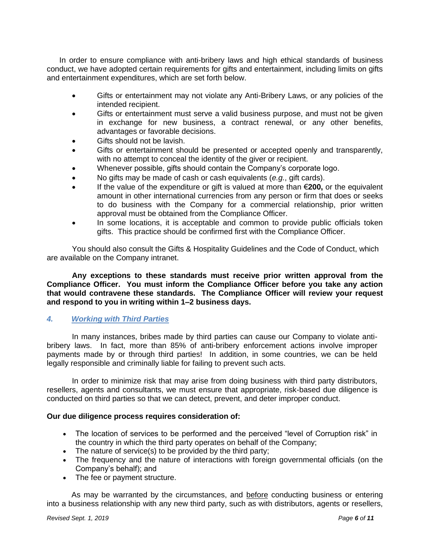In order to ensure compliance with anti-bribery laws and high ethical standards of business conduct, we have adopted certain requirements for gifts and entertainment, including limits on gifts and entertainment expenditures, which are set forth below.

- Gifts or entertainment may not violate any Anti-Bribery Laws, or any policies of the intended recipient.
- Gifts or entertainment must serve a valid business purpose, and must not be given in exchange for new business, a contract renewal, or any other benefits, advantages or favorable decisions.
- Gifts should not be lavish.
- Gifts or entertainment should be presented or accepted openly and transparently, with no attempt to conceal the identity of the giver or recipient.
- Whenever possible, gifts should contain the Company's corporate logo.
- No gifts may be made of cash or cash equivalents (*e.g.*, gift cards).
- If the value of the expenditure or gift is valued at more than €**200,** or the equivalent amount in other international currencies from any person or firm that does or seeks to do business with the Company for a commercial relationship, prior written approval must be obtained from the Compliance Officer.
- In some locations, it is acceptable and common to provide public officials token gifts. This practice should be confirmed first with the Compliance Officer.

You should also consult the Gifts & Hospitality Guidelines and the Code of Conduct, which are available on the Company intranet.

**Any exceptions to these standards must receive prior written approval from the Compliance Officer. You must inform the Compliance Officer before you take any action that would contravene these standards. The Compliance Officer will review your request and respond to you in writing within 1–2 business days.**

# <span id="page-5-0"></span>*4. Working with Third Parties*

In many instances, bribes made by third parties can cause our Company to violate antibribery laws. In fact, more than 85% of anti-bribery enforcement actions involve improper payments made by or through third parties! In addition, in some countries, we can be held legally responsible and criminally liable for failing to prevent such acts.

In order to minimize risk that may arise from doing business with third party distributors, resellers, agents and consultants, we must ensure that appropriate, risk-based due diligence is conducted on third parties so that we can detect, prevent, and deter improper conduct.

## **Our due diligence process requires consideration of:**

- The location of services to be performed and the perceived "level of Corruption risk" in the country in which the third party operates on behalf of the Company;
- The nature of service(s) to be provided by the third party;
- The frequency and the nature of interactions with foreign governmental officials (on the Company's behalf); and
- The fee or payment structure.

As may be warranted by the circumstances, and before conducting business or entering into a business relationship with any new third party, such as with distributors, agents or resellers,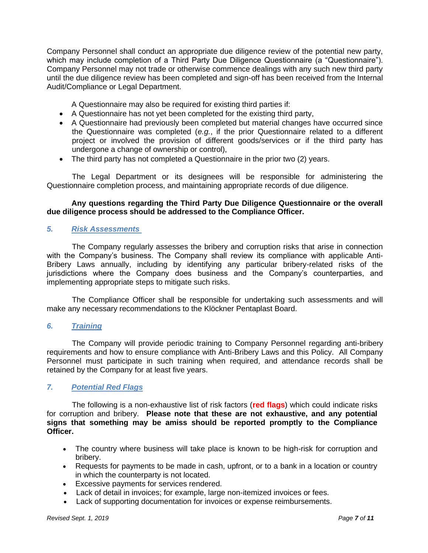Company Personnel shall conduct an appropriate due diligence review of the potential new party, which may include completion of a Third Party Due Diligence Questionnaire (a "Questionnaire"). Company Personnel may not trade or otherwise commence dealings with any such new third party until the due diligence review has been completed and sign-off has been received from the Internal Audit/Compliance or Legal Department.

A Questionnaire may also be required for existing third parties if:

- A Questionnaire has not yet been completed for the existing third party,
- A Questionnaire had previously been completed but material changes have occurred since the Questionnaire was completed (*e.g.*, if the prior Questionnaire related to a different project or involved the provision of different goods/services or if the third party has undergone a change of ownership or control),
- The third party has not completed a Questionnaire in the prior two (2) years.

The Legal Department or its designees will be responsible for administering the Questionnaire completion process, and maintaining appropriate records of due diligence.

### **Any questions regarding the Third Party Due Diligence Questionnaire or the overall due diligence process should be addressed to the Compliance Officer.**

### <span id="page-6-0"></span>*5. Risk Assessments*

The Company regularly assesses the bribery and corruption risks that arise in connection with the Company's business. The Company shall review its compliance with applicable Anti-Bribery Laws annually, including by identifying any particular bribery-related risks of the jurisdictions where the Company does business and the Company's counterparties, and implementing appropriate steps to mitigate such risks.

The Compliance Officer shall be responsible for undertaking such assessments and will make any necessary recommendations to the Klöckner Pentaplast Board.

### <span id="page-6-1"></span>*6. Training*

The Company will provide periodic training to Company Personnel regarding anti-bribery requirements and how to ensure compliance with Anti-Bribery Laws and this Policy. All Company Personnel must participate in such training when required, and attendance records shall be retained by the Company for at least five years.

### <span id="page-6-2"></span>*7. Potential Red Flags*

The following is a non-exhaustive list of risk factors (**red flags**) which could indicate risks for corruption and bribery. **Please note that these are not exhaustive, and any potential signs that something may be amiss should be reported promptly to the Compliance Officer.**

- The country where business will take place is known to be high-risk for corruption and bribery.
- Requests for payments to be made in cash, upfront, or to a bank in a location or country in which the counterparty is not located.
- Excessive payments for services rendered.
- Lack of detail in invoices; for example, large non-itemized invoices or fees.
- Lack of supporting documentation for invoices or expense reimbursements.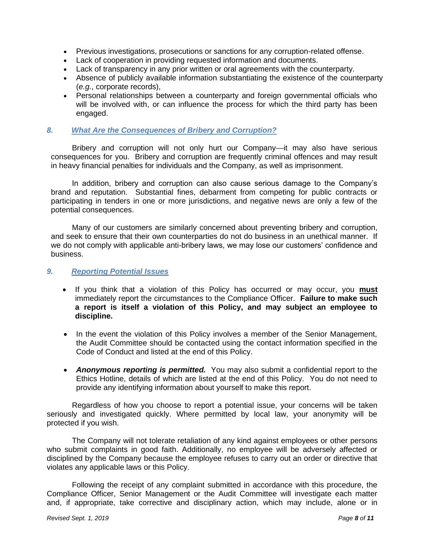- Previous investigations, prosecutions or sanctions for any corruption-related offense.
- Lack of cooperation in providing requested information and documents.
- Lack of transparency in any prior written or oral agreements with the counterparty.
- Absence of publicly available information substantiating the existence of the counterparty (*e.g.*, corporate records),
- Personal relationships between a counterparty and foreign governmental officials who will be involved with, or can influence the process for which the third party has been engaged.

### <span id="page-7-0"></span>*8. What Are the Consequences of Bribery and Corruption?*

Bribery and corruption will not only hurt our Company—it may also have serious consequences for you. Bribery and corruption are frequently criminal offences and may result in heavy financial penalties for individuals and the Company, as well as imprisonment.

In addition, bribery and corruption can also cause serious damage to the Company's brand and reputation. Substantial fines, debarment from competing for public contracts or participating in tenders in one or more jurisdictions, and negative news are only a few of the potential consequences.

Many of our customers are similarly concerned about preventing bribery and corruption, and seek to ensure that their own counterparties do not do business in an unethical manner. If we do not comply with applicable anti-bribery laws, we may lose our customers' confidence and business.

#### <span id="page-7-1"></span>*9. Reporting Potential Issues*

- If you think that a violation of this Policy has occurred or may occur, you **must** immediately report the circumstances to the Compliance Officer. **Failure to make such a report is itself a violation of this Policy, and may subject an employee to discipline.**
- In the event the violation of this Policy involves a member of the Senior Management, the Audit Committee should be contacted using the contact information specified in the Code of Conduct and listed at the end of this Policy.
- *Anonymous reporting is permitted.* You may also submit a confidential report to the Ethics Hotline, details of which are listed at the end of this Policy. You do not need to provide any identifying information about yourself to make this report.

Regardless of how you choose to report a potential issue, your concerns will be taken seriously and investigated quickly. Where permitted by local law, your anonymity will be protected if you wish.

The Company will not tolerate retaliation of any kind against employees or other persons who submit complaints in good faith. Additionally, no employee will be adversely affected or disciplined by the Company because the employee refuses to carry out an order or directive that violates any applicable laws or this Policy.

Following the receipt of any complaint submitted in accordance with this procedure, the Compliance Officer, Senior Management or the Audit Committee will investigate each matter and, if appropriate, take corrective and disciplinary action, which may include, alone or in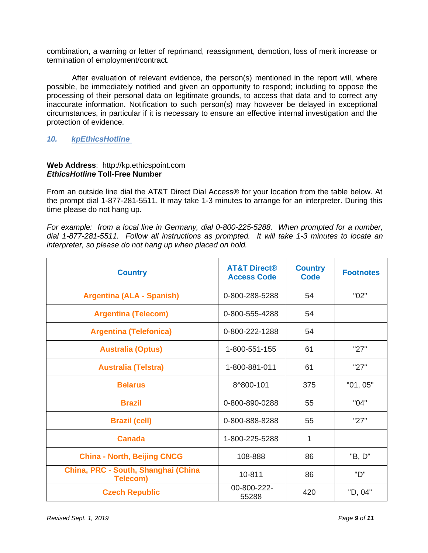combination, a warning or letter of reprimand, reassignment, demotion, loss of merit increase or termination of employment/contract.

After evaluation of relevant evidence, the person(s) mentioned in the report will, where possible, be immediately notified and given an opportunity to respond; including to oppose the processing of their personal data on legitimate grounds, to access that data and to correct any inaccurate information. Notification to such person(s) may however be delayed in exceptional circumstances, in particular if it is necessary to ensure an effective internal investigation and the protection of evidence.

### <span id="page-8-0"></span>*10. kpEthicsHotline*

#### **Web Address**: [http://kp.ethicspoint.com](http://kp.ethicspoint.com/) *EthicsHotline* **Toll-Free Number**

From an outside line dial the AT&T Direct Dial Access® for your location from the table below. At the prompt dial 1-877-281-5511. It may take 1-3 minutes to arrange for an interpreter. During this time please do not hang up.

*For example: from a local line in Germany, dial 0-800-225-5288. When prompted for a number, dial 1-877-281-5511. Follow all instructions as prompted. It will take 1-3 minutes to locate an interpreter, so please do not hang up when placed on hold.* 

| <b>Country</b>                                         | <b>AT&amp;T Direct®</b><br><b>Access Code</b> | <b>Country</b><br><b>Code</b> | <b>Footnotes</b> |
|--------------------------------------------------------|-----------------------------------------------|-------------------------------|------------------|
| <b>Argentina (ALA - Spanish)</b>                       | 0-800-288-5288                                | 54                            | "02"             |
| <b>Argentina (Telecom)</b>                             | 0-800-555-4288                                | 54                            |                  |
| <b>Argentina (Telefonica)</b>                          | 0-800-222-1288                                | 54                            |                  |
| <b>Australia (Optus)</b>                               | 1-800-551-155                                 | 61                            | "27"             |
| <b>Australia (Telstra)</b>                             | 1-800-881-011                                 | 61                            | "27"             |
| <b>Belarus</b>                                         | 8^800-101                                     | 375                           | "01, 05"         |
| <b>Brazil</b>                                          | 0-800-890-0288                                | 55                            | "04"             |
| <b>Brazil (cell)</b>                                   | 0-800-888-8288                                | 55                            | "27"             |
| <b>Canada</b>                                          | 1-800-225-5288                                | 1                             |                  |
| <b>China - North, Beijing CNCG</b>                     | 108-888                                       | 86                            | "B, D"           |
| China, PRC - South, Shanghai (China<br><b>Telecom)</b> | 10-811                                        | 86                            | "D"              |
| <b>Czech Republic</b>                                  | 00-800-222-<br>55288                          | 420                           | "D, 04"          |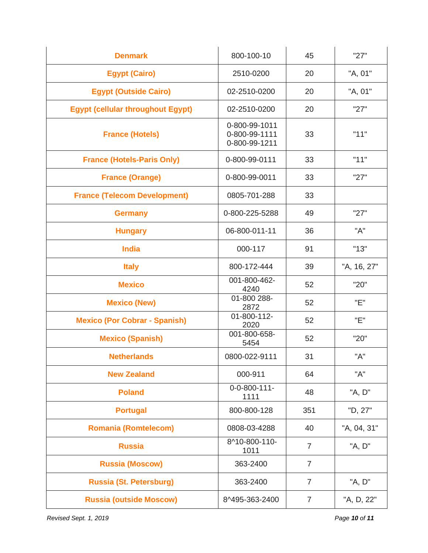| <b>Denmark</b>                           | 800-100-10                                      | 45             | "27"        |
|------------------------------------------|-------------------------------------------------|----------------|-------------|
| <b>Egypt (Cairo)</b>                     | 2510-0200                                       | 20             | "A, 01"     |
| <b>Egypt (Outside Cairo)</b>             | 02-2510-0200                                    | 20             | "A, 01"     |
| <b>Egypt (cellular throughout Egypt)</b> | 02-2510-0200                                    | 20             | "27"        |
| <b>France (Hotels)</b>                   | 0-800-99-1011<br>0-800-99-1111<br>0-800-99-1211 | 33             | "11"        |
| <b>France (Hotels-Paris Only)</b>        | 0-800-99-0111                                   | 33             | "11"        |
| <b>France (Orange)</b>                   | 0-800-99-0011                                   | 33             | "27"        |
| <b>France (Telecom Development)</b>      | 0805-701-288                                    | 33             |             |
| <b>Germany</b>                           | 0-800-225-5288                                  | 49             | "27"        |
| <b>Hungary</b>                           | 06-800-011-11                                   | 36             | "A"         |
| <b>India</b>                             | 000-117                                         | 91             | "13"        |
| <b>Italy</b>                             | 800-172-444                                     | 39             | "A, 16, 27" |
| <b>Mexico</b>                            | 001-800-462-<br>4240                            | 52             | "20"        |
| <b>Mexico (New)</b>                      | 01-800 288-<br>2872                             | 52             | "E"         |
| <b>Mexico (Por Cobrar - Spanish)</b>     | 01-800-112-<br>2020                             | 52             | "E"         |
| <b>Mexico (Spanish)</b>                  | 001-800-658-<br>5454                            | 52             | "20"        |
| <b>Netherlands</b>                       | 0800-022-9111                                   | 31             | "A"         |
| <b>New Zealand</b>                       | 000-911                                         | 64             | "A"         |
| <b>Poland</b>                            | $0 - 0 - 800 - 111 -$<br>1111                   | 48             | "A, D"      |
| <b>Portugal</b>                          | 800-800-128                                     | 351            | "D, 27"     |
| <b>Romania (Romtelecom)</b>              | 0808-03-4288                                    | 40             | "A, 04, 31" |
| <b>Russia</b>                            | 8^10-800-110-<br>1011                           | $\overline{7}$ | "A, D"      |
| <b>Russia (Moscow)</b>                   | 363-2400                                        | $\overline{7}$ |             |
| <b>Russia (St. Petersburg)</b>           | 363-2400                                        | $\overline{7}$ | "A, D"      |
| <b>Russia (outside Moscow)</b>           | 8^495-363-2400                                  | $\overline{7}$ | "A, D, 22"  |